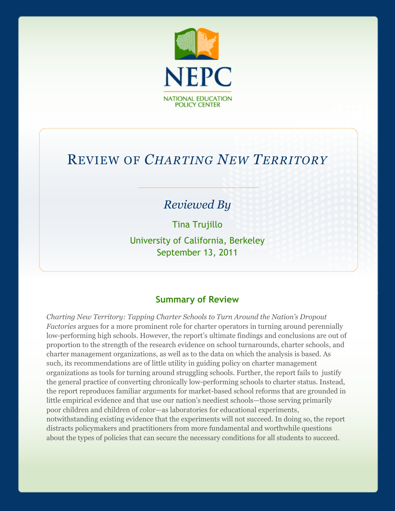

# REVIEW OF *CHARTING NEW TERRITORY*

## *Reviewed By*

Tina Trujillo University of California, Berkeley September 13, 2011

#### **Summary of Review**

*Charting New Territory: Tapping Charter Schools to Turn Around the Nation's Dropout Factories* argues for a more prominent role for charter operators in turning around perennially low-performing high schools. However, the report's ultimate findings and conclusions are out of proportion to the strength of the research evidence on school turnarounds, charter schools, and charter management organizations, as well as to the data on which the analysis is based. As such, its recommendations are of little utility in guiding policy on charter management organizations as tools for turning around struggling schools. Further, the report fails to justify the general practice of converting chronically low-performing schools to charter status. Instead, the report reproduces familiar arguments for market-based school reforms that are grounded in little empirical evidence and that use our nation's neediest schools—those serving primarily poor children and children of color—as laboratories for educational experiments, notwithstanding existing evidence that the experiments will not succeed. In doing so, the report distracts policymakers and practitioners from more fundamental and worthwhile questions about the types of policies that can secure the necessary conditions for all students to succeed.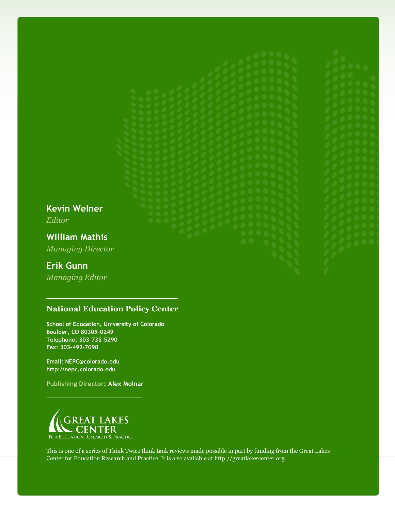**Kevin Welner** *Editor*

**William Mathis** *Managing Director*

### **Erik Gunn**

*Managing Editor*

#### **National Education Policy Center**

**School of Education, University of Colorado Boulder, CO 80309-0249 Telephone: 303-735-5290 Fax: 303-492-7090**

**Email: NEPC@colorado.edu http://nepc.colorado.edu**

**Publishing Director: Alex Molnar**



This is one of a series of Think Twice think tank reviews made possible in part by funding from the Great Lakes Center for Education Research and Practice. It is also available at http://greatlakescenter.org.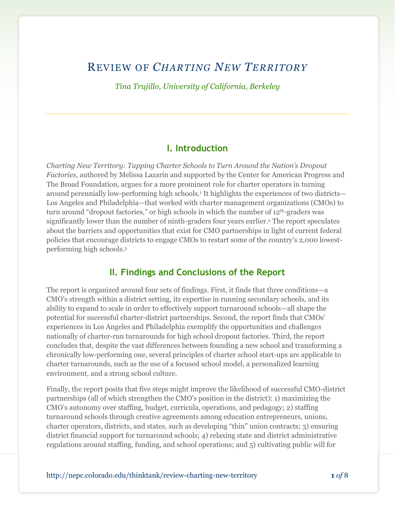## REVIEW OF *CHARTING NEW TERRITORY*

*Tina Trujillo, University of California, Berkeley*

#### **I. Introduction**

*Charting New Territory: Tapping Charter Schools to Turn Around the Nation's Dropout Factories*, authored by Melissa Lazarín and supported by the Center for American Progress and The Broad Foundation, argues for a more prominent role for charter operators in turning around perennially low-performing high schools.<sup>1</sup> It highlights the experiences of two districts— Los Angeles and Philadelphia—that worked with charter management organizations (CMOs) to turn around "dropout factories," or high schools in which the number of  $12<sup>th</sup>$ -graders was significantly lower than the number of ninth-graders four years earlier.<sup>2</sup> The report speculates about the barriers and opportunities that exist for CMO partnerships in light of current federal policies that encourage districts to engage CMOs to restart some of the country's 2,000 lowestperforming high schools.<sup>3</sup>

#### **II. Findings and Conclusions of the Report**

The report is organized around four sets of findings. First, it finds that three conditions—a CMO's strength within a district setting, its expertise in running secondary schools, and its ability to expand to scale in order to effectively support turnaround schools—all shape the potential for successful charter-district partnerships. Second, the report finds that CMOs' experiences in Los Angeles and Philadelphia exemplify the opportunities and challenges nationally of charter-run turnarounds for high school dropout factories. Third, the report concludes that, despite the vast differences between founding a new school and transforming a chronically low-performing one, several principles of charter school start-ups are applicable to charter turnarounds, such as the use of a focused school model, a personalized learning environment, and a strong school culture.

Finally, the report posits that five steps might improve the likelihood of successful CMO-district partnerships (all of which strengthen the CMO's position in the district): 1) maximizing the CMO's autonomy over staffing, budget, curricula, operations, and pedagogy; 2) staffing turnaround schools through creative agreements among education entrepreneurs, unions, charter operators, districts, and states, such as developing "thin" union contracts; 3) ensuring district financial support for turnaround schools; 4) relaxing state and district administrative regulations around staffing, funding, and school operations; and 5) cultivating public will for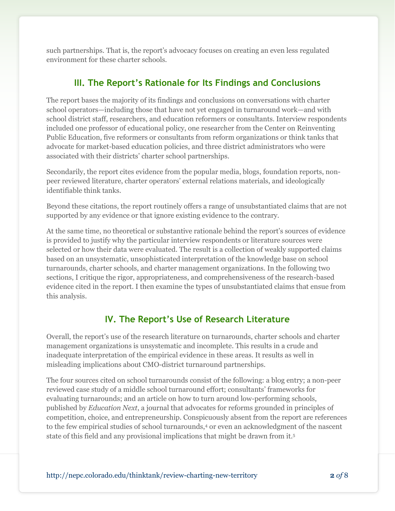such partnerships. That is, the report's advocacy focuses on creating an even less regulated environment for these charter schools.

## **III. The Report's Rationale for Its Findings and Conclusions**

The report bases the majority of its findings and conclusions on conversations with charter school operators—including those that have not yet engaged in turnaround work—and with school district staff, researchers, and education reformers or consultants. Interview respondents included one professor of educational policy, one researcher from the Center on Reinventing Public Education, five reformers or consultants from reform organizations or think tanks that advocate for market-based education policies, and three district administrators who were associated with their districts' charter school partnerships.

Secondarily, the report cites evidence from the popular media, blogs, foundation reports, nonpeer reviewed literature, charter operators' external relations materials, and ideologically identifiable think tanks.

Beyond these citations, the report routinely offers a range of unsubstantiated claims that are not supported by any evidence or that ignore existing evidence to the contrary.

At the same time, no theoretical or substantive rationale behind the report's sources of evidence is provided to justify why the particular interview respondents or literature sources were selected or how their data were evaluated. The result is a collection of weakly supported claims based on an unsystematic, unsophisticated interpretation of the knowledge base on school turnarounds, charter schools, and charter management organizations. In the following two sections, I critique the rigor, appropriateness, and comprehensiveness of the research-based evidence cited in the report. I then examine the types of unsubstantiated claims that ensue from this analysis.

## **IV. The Report's Use of Research Literature**

Overall, the report's use of the research literature on turnarounds, charter schools and charter management organizations is unsystematic and incomplete. This results in a crude and inadequate interpretation of the empirical evidence in these areas. It results as well in misleading implications about CMO-district turnaround partnerships.

The four sources cited on school turnarounds consist of the following: a blog entry; a non-peer reviewed case study of a middle school turnaround effort; consultants' frameworks for evaluating turnarounds; and an article on how to turn around low-performing schools, published by *Education Next*, a journal that advocates for reforms grounded in principles of competition, choice, and entrepreneurship. Conspicuously absent from the report are references to the few empirical studies of school turnarounds,<sup>4</sup> or even an acknowledgment of the nascent state of this field and any provisional implications that might be drawn from it.5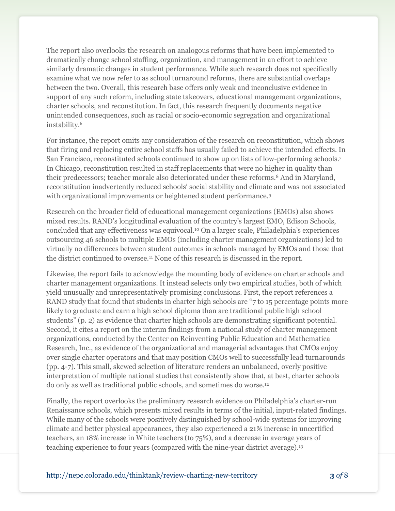The report also overlooks the research on analogous reforms that have been implemented to dramatically change school staffing, organization, and management in an effort to achieve similarly dramatic changes in student performance. While such research does not specifically examine what we now refer to as school turnaround reforms, there are substantial overlaps between the two. Overall, this research base offers only weak and inconclusive evidence in support of any such reform, including state takeovers, educational management organizations, charter schools, and reconstitution. In fact, this research frequently documents negative unintended consequences, such as racial or socio-economic segregation and organizational instability.<sup>6</sup>

For instance, the report omits any consideration of the research on reconstitution*,* which shows that firing and replacing entire school staffs has usually failed to achieve the intended effects. In San Francisco, reconstituted schools continued to show up on lists of low-performing schools.<sup>7</sup> In Chicago, reconstitution resulted in staff replacements that were no higher in quality than their predecessors; teacher morale also deteriorated under these reforms.<sup>8</sup> And in Maryland, reconstitution inadvertently reduced schools' social stability and climate and was not associated with organizational improvements or heightened student performance.<sup>9</sup>

Research on the broader field of educational management organizations (EMOs) also shows mixed results. RAND's longitudinal evaluation of the country's largest EMO, Edison Schools, concluded that any effectiveness was equivocal.<sup>10</sup> On a larger scale, Philadelphia's experiences outsourcing 46 schools to multiple EMOs (including charter management organizations) led to virtually no differences between student outcomes in schools managed by EMOs and those that the district continued to oversee.<sup>11</sup> None of this research is discussed in the report.

Likewise, the report fails to acknowledge the mounting body of evidence on charter schools and charter management organizations. It instead selects only two empirical studies, both of which yield unusually and unrepresentatively promising conclusions. First, the report references a RAND study that found that students in charter high schools are "7 to 15 percentage points more likely to graduate and earn a high school diploma than are traditional public high school students" (p. 2) as evidence that charter high schools are demonstrating significant potential. Second, it cites a report on the interim findings from a national study of charter management organizations, conducted by the Center on Reinventing Public Education and Mathematica Research, Inc., as evidence of the organizational and managerial advantages that CMOs enjoy over single charter operators and that may position CMOs well to successfully lead turnarounds (pp. 4-7). This small, skewed selection of literature renders an unbalanced, overly positive interpretation of multiple national studies that consistently show that, at best, charter schools do only as well as traditional public schools, and sometimes do worse.<sup>12</sup>

Finally, the report overlooks the preliminary research evidence on Philadelphia's charter-run Renaissance schools, which presents mixed results in terms of the initial, input-related findings. While many of the schools were positively distinguished by school-wide systems for improving climate and better physical appearances, they also experienced a 21% increase in uncertified teachers, an 18% increase in White teachers (to 75%), and a decrease in average years of teaching experience to four years (compared with the nine-year district average).<sup>13</sup>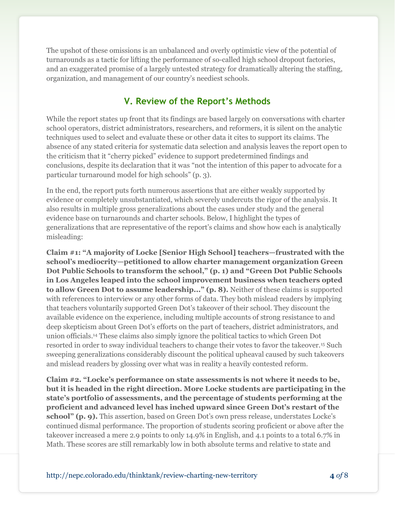The upshot of these omissions is an unbalanced and overly optimistic view of the potential of turnarounds as a tactic for lifting the performance of so-called high school dropout factories, and an exaggerated promise of a largely untested strategy for dramatically altering the staffing, organization, and management of our country's neediest schools.

## **V. Review of the Report's Methods**

While the report states up front that its findings are based largely on conversations with charter school operators, district administrators, researchers, and reformers, it is silent on the analytic techniques used to select and evaluate these or other data it cites to support its claims. The absence of any stated criteria for systematic data selection and analysis leaves the report open to the criticism that it "cherry picked" evidence to support predetermined findings and conclusions, despite its declaration that it was "not the intention of this paper to advocate for a particular turnaround model for high schools" (p. 3).

In the end, the report puts forth numerous assertions that are either weakly supported by evidence or completely unsubstantiated, which severely undercuts the rigor of the analysis. It also results in multiple gross generalizations about the cases under study and the general evidence base on turnarounds and charter schools. Below, I highlight the types of generalizations that are representative of the report's claims and show how each is analytically misleading:

**Claim #1: "A majority of Locke [Senior High School] teachers—frustrated with the school's mediocrity—petitioned to allow charter management organization Green Dot Public Schools to transform the school," (p. 1) and "Green Dot Public Schools in Los Angeles leaped into the school improvement business when teachers opted to allow Green Dot to assume leadership..." (p. 8).** Neither of these claims is supported with references to interview or any other forms of data. They both mislead readers by implying that teachers voluntarily supported Green Dot's takeover of their school. They discount the available evidence on the experience, including multiple accounts of strong resistance to and deep skepticism about Green Dot's efforts on the part of teachers, district administrators, and union officials. <sup>14</sup> These claims also simply ignore the political tactics to which Green Dot resorted in order to sway individual teachers to change their votes to favor the takeover.<sup>15</sup> Such sweeping generalizations considerably discount the political upheaval caused by such takeovers and mislead readers by glossing over what was in reality a heavily contested reform.

**Claim #2. "Locke's performance on state assessments is not where it needs to be, but it is headed in the right direction. More Locke students are participating in the state's portfolio of assessments, and the percentage of students performing at the proficient and advanced level has inched upward since Green Dot's restart of the school" (p. 9).** This assertion, based on Green Dot's own press release, understates Locke's continued dismal performance. The proportion of students scoring proficient or above after the takeover increased a mere 2.9 points to only 14.9% in English, and 4.1 points to a total 6.7% in Math. These scores are still remarkably low in both absolute terms and relative to state and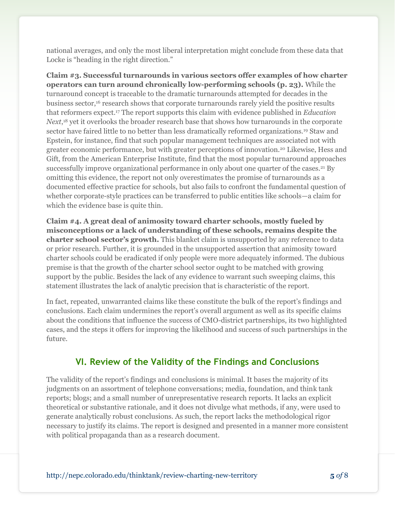national averages, and only the most liberal interpretation might conclude from these data that Locke is "heading in the right direction."

**Claim #3. Successful turnarounds in various sectors offer examples of how charter operators can turn around chronically low-performing schools (p. 23).** While the turnaround concept is traceable to the dramatic turnarounds attempted for decades in the business sector,<sup>16</sup> research shows that corporate turnarounds rarely yield the positive results that reformers expect.<sup>17</sup> The report supports this claim with evidence published in *Education*  Next,<sup>18</sup> yet it overlooks the broader research base that shows how turnarounds in the corporate sector have faired little to no better than less dramatically reformed organizations.<sup>19</sup> Staw and Epstein, for instance, find that such popular management techniques are associated not with greater economic performance, but with greater perceptions of innovation.<sup>20</sup> Likewise, Hess and Gift, from the American Enterprise Institute, find that the most popular turnaround approaches successfully improve organizational performance in only about one quarter of the cases.<sup>21</sup> By omitting this evidence, the report not only overestimates the promise of turnarounds as a documented effective practice for schools, but also fails to confront the fundamental question of whether corporate-style practices can be transferred to public entities like schools—a claim for which the evidence base is quite thin.

**Claim #4. A great deal of animosity toward charter schools, mostly fueled by misconceptions or a lack of understanding of these schools, remains despite the charter school sector's growth.** This blanket claim is unsupported by any reference to data or prior research. Further, it is grounded in the unsupported assertion that animosity toward charter schools could be eradicated if only people were more adequately informed. The dubious premise is that the growth of the charter school sector ought to be matched with growing support by the public. Besides the lack of any evidence to warrant such sweeping claims, this statement illustrates the lack of analytic precision that is characteristic of the report.

In fact, repeated, unwarranted claims like these constitute the bulk of the report's findings and conclusions. Each claim undermines the report's overall argument as well as its specific claims about the conditions that influence the success of CMO-district partnerships, its two highlighted cases, and the steps it offers for improving the likelihood and success of such partnerships in the future.

## **VI. Review of the Validity of the Findings and Conclusions**

The validity of the report's findings and conclusions is minimal. It bases the majority of its judgments on an assortment of telephone conversations; media, foundation, and think tank reports; blogs; and a small number of unrepresentative research reports. It lacks an explicit theoretical or substantive rationale, and it does not divulge what methods, if any, were used to generate analytically robust conclusions. As such, the report lacks the methodological rigor necessary to justify its claims. The report is designed and presented in a manner more consistent with political propaganda than as a research document.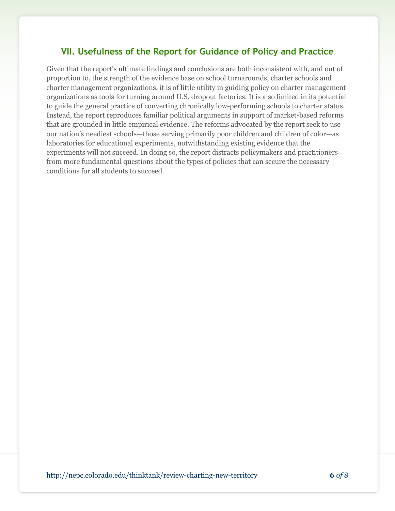### **VII. Usefulness of the Report for Guidance of Policy and Practice**

Given that the report's ultimate findings and conclusions are both inconsistent with, and out of proportion to, the strength of the evidence base on school turnarounds, charter schools and charter management organizations, it is of little utility in guiding policy on charter management organizations as tools for turning around U.S. dropout factories. It is also limited in its potential to guide the general practice of converting chronically low-performing schools to charter status. Instead, the report reproduces familiar political arguments in support of market-based reforms that are grounded in little empirical evidence. The reforms advocated by the report seek to use our nation's neediest schools—those serving primarily poor children and children of color—as laboratories for educational experiments, notwithstanding existing evidence that the experiments will not succeed. In doing so, the report distracts policymakers and practitioners from more fundamental questions about the types of policies that can secure the necessary conditions for all students to succeed.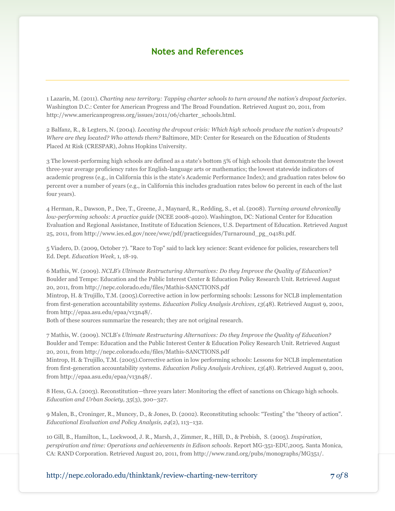#### **Notes and References**

1 Lazarín, M. (2011). *Charting new territory: Tapping charter schools to turn around the nation's dropout factories*. Washington D.C.: Center for American Progress and The Broad Foundation. Retrieved August 20, 2011, from http://www.americanprogress.org/issues/2011/06/charter\_schools.html.

2 Balfanz, R., & Legters, N. (2004). *Locating the dropout crisis: Which high schools produce the nation's dropouts? Where are they located? Who attends them?* Baltimore, MD: Center for Research on the Education of Students Placed At Risk (CRESPAR), Johns Hopkins University.

3 The lowest-performing high schools are defined as a state's bottom 5% of high schools that demonstrate the lowest three-year average proficiency rates for English-language arts or mathematics; the lowest statewide indicators of academic progress (e.g., in California this is the state's Academic Performance Index); and graduation rates below 60 percent over a number of years (e.g., in California this includes graduation rates below 60 percent in each of the last four years).

4 Herman, R., Dawson, P., Dee, T., Greene, J., Maynard, R., Redding, S., et al. (2008). *Turning around chronically low-performing schools: A practice guide* (NCEE 2008-4020). Washington, DC: National Center for Education Evaluation and Regional Assistance, Institute of Education Sciences, U.S. Department of Education. Retrieved August 25, 2011, from http://www.ies.ed.gov/ncee/wwc/pdf/practiceguides/Turnaround\_pg\_04181.pdf.

5 Viadero, D. (2009, October 7). "Race to Top" said to lack key science: Scant evidence for policies, researchers tell Ed. Dept. *Education Week*, 1, 18-19.

6 Mathis, W. (2009). *NCLB's Ultimate Restructuring Alternatives: Do they Improve the Quality of Education?* Boulder and Tempe: Education and the Public Interest Center & Education Policy Research Unit. Retrieved August 20, 2011, fro[m http://nepc.colorado.edu/files/Mathis-SANCTIONS.pdf](http://nepc.colorado.edu/files/Mathis-SANCTIONS.pdf)

Mintrop, H. & Trujillo, T.M. (2005).Corrective action in low performing schools: Lessons for NCLB implementation from first-generation accountability systems. *Education Policy Analysis Archives, 13*(48). Retrieved August 9, 2001, fro[m http://epaa.asu.edu/epaa/v13n48/.](http://epaa.asu.edu/epaa/v13n48/)

Both of these sources summarize the research; they are not original research.

7 Mathis, W. (2009). NCLB's *Ultimate Restructuring Alternatives: Do they Improve the Quality of Education?* Boulder and Tempe: Education and the Public Interest Center & Education Policy Research Unit. Retrieved August 20, 2011, fro[m http://nepc.colorado.edu/files/Mathis-SANCTIONS.pdf](http://nepc.colorado.edu/files/Mathis-SANCTIONS.pdf)

Mintrop, H. & Trujillo, T.M. (2005).Corrective action in low performing schools: Lessons for NCLB implementation from first-generation accountability systems. *Education Policy Analysis Archives, 13*(48). Retrieved August 9, 2001, fro[m http://epaa.asu.edu/epaa/v13n48/.](http://epaa.asu.edu/epaa/v13n48/)

8 Hess, G.A. (2003). Reconstitution—three years later: Monitoring the effect of sanctions on Chicago high schools. *Education and Urban Society, 35*(3), 300–327.

9 Malen, B., Croninger, R., Muncey, D., & Jones, D. (2002). Reconstituting schools: "Testing" the "theory of action". *Educational Evaluation and Policy Analysis, 24*(2), 113–132.

10 Gill, B., Hamilton, L., Lockwood, J. R., Marsh, J., Zimmer, R., Hill, D., & Prebish, S. (2005). *Inspiration, perspiration and time: Operations and achievements in Edison schools*. Report MG-351-EDU,2005. Santa Monica, CA: RAND Corporation. Retrieved August 20, 2011, fro[m http://www.rand.org/pubs/monographs/MG351/.](http://www.rand.org/pubs/monographs/MG351/) 

http://nepc.colorado.edu/thinktank/review-charting-new-territory **7** *of* 8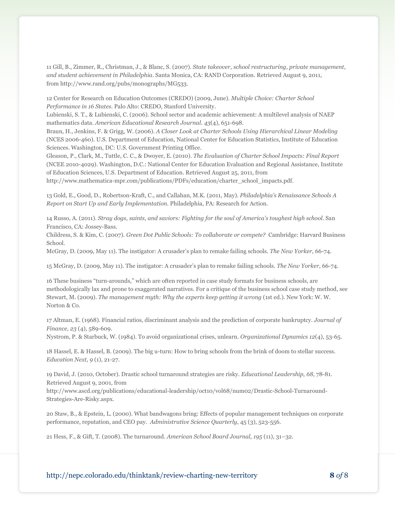11 Gill, B., Zimmer, R., Christman, J., & Blanc, S. (2007). *State takeover, school restructuring, private management, and student achievement in Philadelphia*. Santa Monica, CA: RAND Corporation. Retrieved August 9, 2011, from http:/[/www.rand.org/pubs/monographs/MG533.](http://www.rand.org/pubs/monographs/MG533)

12 Center for Research on Education Outcomes (CREDO) (2009, June). *Multiple Choice: Charter School Performance in 16 States*. Palo Alto: CREDO, Stanford University.

Lubienski, S. T., & Lubienski, C. (2006). School sector and academic achievement: A multilevel analysis of NAEP mathematics data. *American Educational Research Journal. 43*(4), 651-698.

Braun, H., Jenkins, F. & Grigg, W. (2006). *A Closer Look at Charter Schools Using Hierarchical Linear Modeling* (NCES 2006-460). U.S. Department of Education, National Center for Education Statistics, Institute of Education Sciences. Washington, DC: U.S. Government Printing Office.

Gleason, P., Clark, M., Tuttle, C. C., & Dwoyer, E. (2010). *The Evaluation of Charter School Impacts: Final Report* (NCEE 2010-4029). Washington, D.C.: National Center for Education Evaluation and Regional Assistance, Institute of Education Sciences, U.S. Department of Education. Retrieved August 25, 2011, from [http://www.mathematica-mpr.com/publications/PDFs/education/charter\\_school\\_impacts.pdf.](http://www.mathematica-mpr.com/publications/PDFs/education/charter_school_impacts.pdf)

13 Gold, E., Good, D., Robertson-Kraft, C., and Callahan, M.K. (2011, May). *Philadelphia's Renaissance Schools A Report on Start Up and Early Implementation.* Philadelphia, PA: Research for Action.

14 Russo, A. (2011). *Stray dogs, saints, and saviors: Fighting for the soul of America's toughest high school.* San Francisco, CA: Jossey-Bass.

Childress, S. & Kim, C. (2007). *Green Dot Public Schools: To collaborate or compete?* Cambridge: Harvard Business School.

McGray, D. (2009, May 11). The instigator: A crusader's plan to remake failing schools. *The New Yorker,* 66-74.

15 McGray, D. (2009, May 11). The instigator: A crusader's plan to remake failing schools. *The New Yorker*, 66-74.

16 These business "turn-arounds," which are often reported in case study formats for business schools, are methodologically lax and prone to exaggerated narratives. For a critique of the business school case study method, see Stewart, M. (2009). *The management myth: Why the experts keep getting it wrong* (1st ed.). New York: W. W. Norton & Co.

17 Altman, E. (1968). Financial ratios, discriminant analysis and the prediction of corporate bankruptcy. *Journal of Finance, 23* (4), 589-609.

Nystrom, P. & Starbuck, W. (1984). To avoid organizational crises, unlearn. *Organizational Dynamics 12*(4), 53-65.

18 Hassel, E. & Hassel, B. (2009). The big u-turn: How to bring schools from the brink of doom to stellar success. *Education Next, 9* (1), 21-27.

19 David, J. (2010, October). Drastic school turnaround strategies are risky. *Educational Leadership, 68*, 78-81. Retrieved August 9, 2001, from

http://www.ascd.org/publications/educational-leadership/oct10/vol68/num02/Drastic-School-Turnaround-Strategies-Are-Risky.aspx.

20 Staw, B., & Epstein, L. (2000). What bandwagons bring: Effects of popular management techniques on corporate performance, reputation, and CEO pay. *Administrative Science Quarterly*, 45 (3), 523-556.

21 Hess, F., & Gift, T. (2008). The turnaround. *American School Board Journal, 195* (11), 31–32.